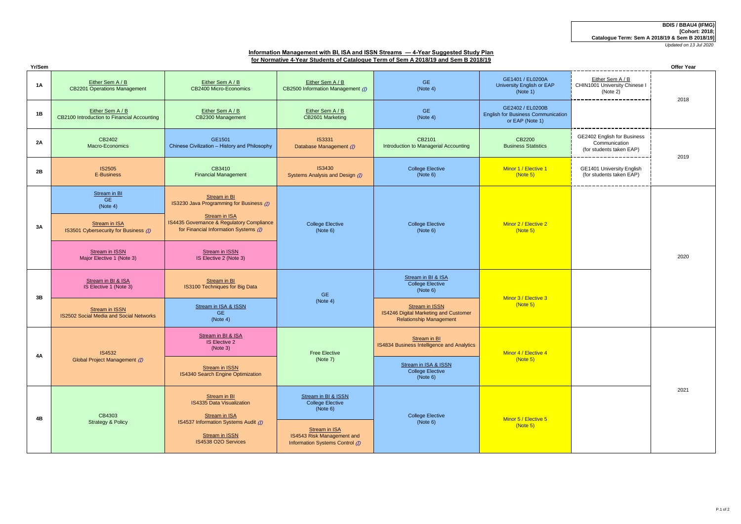# **Information Management with BI, ISA and ISSN Streams — 4-Year Suggested Study Plan for Normative 4-Year Students of Catalogue Term of Sem A 2018/19 and Sem B 2018/19**

| Yr/Sem    |                                                                 |                                                                                                            |                                                                                                                                              |                                                                                                  |                                                                                  |                                                                                               | <b>Offer Year</b> |
|-----------|-----------------------------------------------------------------|------------------------------------------------------------------------------------------------------------|----------------------------------------------------------------------------------------------------------------------------------------------|--------------------------------------------------------------------------------------------------|----------------------------------------------------------------------------------|-----------------------------------------------------------------------------------------------|-------------------|
| 1A        | Either Sem A / B<br><b>CB2201 Operations Management</b>         | Either Sem A / B<br>CB2400 Micro-Economics                                                                 | Either Sem A / B<br>CB2500 Information Management (1)                                                                                        | <b>GE</b><br>(Note 4)                                                                            | GE1401 / EL0200A<br>University English or EAP<br>(Note 1)                        | Either Sem A / B<br>CHIN1001 University Chinese I<br>(Note 2)                                 | 2018              |
| 1B        | Either Sem A / B<br>CB2100 Introduction to Financial Accounting | Either Sem A / B<br>CB2300 Management                                                                      | Either Sem A / B<br>CB2601 Marketing                                                                                                         | <b>GE</b><br>(Note 4)                                                                            | GE2402 / EL0200B<br><b>English for Business Communication</b><br>or EAP (Note 1) | _______________                                                                               |                   |
| <b>2A</b> | CB2402<br>Macro-Economics                                       | GE1501<br>Chinese Civilization - History and Philosophy                                                    | <b>IS3331</b><br>Database Management (D)                                                                                                     | CB2101<br>Introduction to Managerial Accounting                                                  | CB2200<br><b>Business Statistics</b>                                             | GE2402 English for Business<br>Communication<br>(for students taken EAP)<br>_________________ | 2019              |
| 2B        | <b>IS2505</b><br>E-Business                                     | CB3410<br><b>Financial Management</b>                                                                      | <b>IS3430</b><br>Systems Analysis and Design (I)                                                                                             | <b>College Elective</b><br>(Note 6)                                                              | Minor 1 / Elective 1<br>(Note 5)                                                 | GE1401 University English<br>(for students taken EAP)                                         |                   |
|           | Stream in BI<br><b>GE</b><br>(Note 4)                           | Stream in BI<br>IS3230 Java Programming for Business (D)                                                   |                                                                                                                                              |                                                                                                  |                                                                                  |                                                                                               |                   |
| 3A        | Stream in ISA<br>IS3501 Cybersecurity for Business (7)          | <b>Stream in ISA</b><br>IS4435 Governance & Regulatory Compliance<br>for Financial Information Systems (I) | <b>College Elective</b><br>(Note 6)                                                                                                          | <b>College Elective</b><br>(Note 6)                                                              | Minor 2 / Elective 2<br>(Note 5)                                                 |                                                                                               | 2020              |
|           | <b>Stream in ISSN</b><br>Major Elective 1 (Note 3)              | Stream in ISSN<br>IS Elective 2 (Note 3)                                                                   |                                                                                                                                              |                                                                                                  |                                                                                  |                                                                                               |                   |
| 3B        | Stream in BI & ISA<br>IS Elective 1 (Note 3)                    | Stream in BI<br>IS3100 Techniques for Big Data                                                             | <b>GE</b><br>(Note 4)                                                                                                                        | Stream in BI & ISA<br><b>College Elective</b><br>(Note 6)                                        | Minor 3 / Elective 3<br>(Note 5)                                                 |                                                                                               |                   |
|           | Stream in ISSN<br>IS2502 Social Media and Social Networks       | Stream in ISA & ISSN<br>GE.<br>(Note 4)                                                                    |                                                                                                                                              | <b>Stream in ISSN</b><br>IS4246 Digital Marketing and Customer<br><b>Relationship Management</b> |                                                                                  |                                                                                               |                   |
| 4A        | IS4532<br>Global Project Management (1)                         | Stream in BI & ISA<br><b>IS Elective 2</b><br>(Note 3)                                                     | Free Elective<br>(Note 7)                                                                                                                    | Stream in BI<br>IS4834 Business Intelligence and Analytics                                       | Minor 4 / Elective 4<br>(Note 5)                                                 |                                                                                               | 2021              |
|           |                                                                 | <b>Stream in ISSN</b><br>IS4340 Search Engine Optimization                                                 |                                                                                                                                              | Stream in ISA & ISSN<br><b>College Elective</b><br>(Note 6)                                      |                                                                                  |                                                                                               |                   |
| 4B        | CB4303<br><b>Strategy &amp; Policy</b>                          | Stream in BI<br>IS4335 Data Visualization                                                                  | Stream in BI & ISSN<br><b>College Elective</b><br>(Note 6)<br>Stream in ISA<br>IS4543 Risk Management and<br>Information Systems Control (1) | <b>College Elective</b><br>(Note 6)                                                              | Minor 5 / Elective 5<br>(Note 5)                                                 |                                                                                               |                   |
|           |                                                                 | Stream in ISA<br>IS4537 Information Systems Audit (I)<br><b>Stream in ISSN</b><br>IS4538 O2O Services      |                                                                                                                                              |                                                                                                  |                                                                                  |                                                                                               |                   |